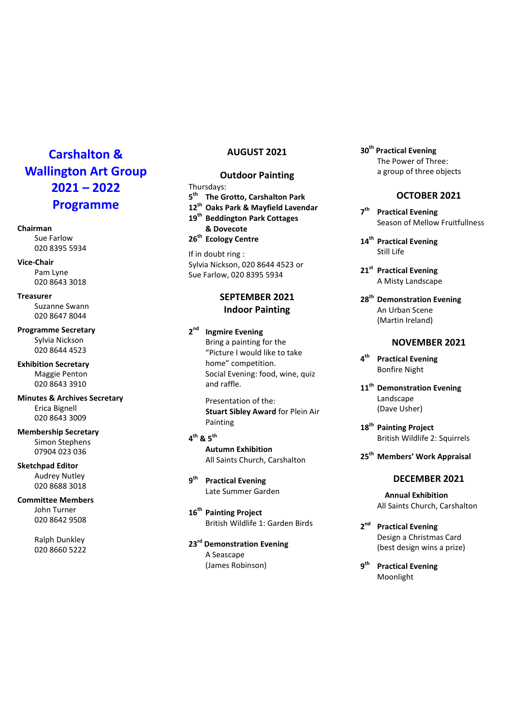# Carshalton & Wallington Art Group 2021 – 2022 Programme

#### Chairman

Sue Farlow 020 8395 5934

Vice-Chair Pam Lyne 020 8643 3018

Treasurer Suzanne Swann 020 8647 8044

Programme Secretary Sylvia Nickson 020 8644 4523

Exhibition Secretary Maggie Penton 020 8643 3910

Minutes & Archives Secretary Erica Bignell 020 8643 3009

Membership Secretary Simon Stephens 07904 023 036

Sketchpad Editor Audrey Nutley 020 8688 3018

Committee Members John Turner 020 8642 9508

> Ralph Dunkley 020 8660 5222

## AUGUST 2021

## Outdoor Painting

Thursdays: 5<sup>th</sup> The Grotto, Carshalton Park 12<sup>th</sup> Oaks Park & Mayfield Lavendar 19<sup>th</sup> Beddington Park Cottages & Dovecote 26<sup>th</sup> Ecology Centre

If in doubt ring : Sylvia Nickson, 020 8644 4523 or Sue Farlow, 020 8395 5934

# SEPTEMBER 2021 Indoor Painting

 $2<sup>nd</sup>$ **Ingmire Evening** Bring a painting for the "Picture I would like to take home" competition. Social Evening: food, wine, quiz and raffle.

> Presentation of the: Stuart Sibley Award for Plein Air Painting

 $4^{\text{th}}$  &  $5^{\text{th}}$  Autumn Exhibition All Saints Church, Carshalton

 $q^{th}$ **Practical Evening** Late Summer Garden

16<sup>th</sup> Painting Project British Wildlife 1: Garden Birds

23<sup>rd</sup> Demonstration Evening A Seascape (James Robinson)

30<sup>th</sup> Practical Evening The Power of Three: a group of three objects

#### OCTOBER 2021

 $7<sup>th</sup>$ **Practical Evening** Season of Mellow Fruitfullness

14<sup>th</sup> Practical Evening Still Life

- 21<sup>st</sup> Practical Evening A Misty Landscape
- 28<sup>th</sup> Demonstration Evening An Urban Scene (Martin Ireland)

#### NOVEMBER 2021

- 4<sup>th</sup> Practical Evening Bonfire Night
- 11<sup>th</sup> Demonstration Evening Landscape (Dave Usher)
- 18<sup>th</sup> Painting Project British Wildlife 2: Squirrels

25<sup>th</sup> Members' Work Appraisal

## DECEMBER 2021

- Annual Exhibition All Saints Church, Carshalton
- 2<sup>nd</sup> Practical Evening Design a Christmas Card (best design wins a prize)
- 9<sup>th</sup> Practical Evening Moonlight